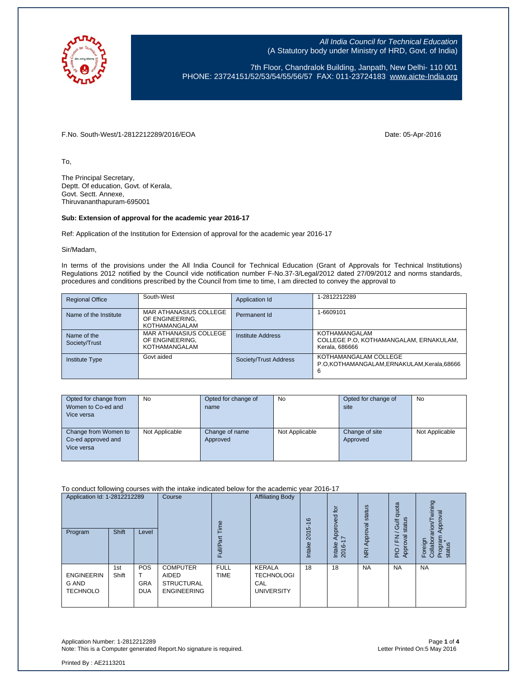

7th Floor, Chandralok Building, Janpath, New Delhi- 110 001 PHONE: 23724151/52/53/54/55/56/57 FAX: 011-23724183 [www.aicte-India.org](http://www.aicte-india.org/)

F.No. South-West/1-2812212289/2016/EOA Date: 05-Apr-2016

To,

The Principal Secretary, Deptt. Of education, Govt. of Kerala, Govt. Sectt. Annexe, Thiruvananthapuram-695001

## **Sub: Extension of approval for the academic year 2016-17**

Ref: Application of the Institution for Extension of approval for the academic year 2016-17

Sir/Madam,

In terms of the provisions under the All India Council for Technical Education (Grant of Approvals for Technical Institutions) Regulations 2012 notified by the Council vide notification number F-No.37-3/Legal/2012 dated 27/09/2012 and norms standards, procedures and conditions prescribed by the Council from time to time, I am directed to convey the approval to

| <b>Regional Office</b>       | South-West                                                 | Application Id           | 1-2812212289                                                              |
|------------------------------|------------------------------------------------------------|--------------------------|---------------------------------------------------------------------------|
| Name of the Institute        | MAR ATHANASIUS COLLEGE<br>OF ENGINEERING.<br>KOTHAMANGALAM | Permanent Id             | 1-6609101                                                                 |
| Name of the<br>Society/Trust | MAR ATHANASIUS COLLEGE<br>OF ENGINEERING.<br>KOTHAMANGALAM | <b>Institute Address</b> | KOTHAMANGALAM<br>COLLEGE P.O. KOTHAMANGALAM, ERNAKULAM,<br>Kerala, 686666 |
| <b>Institute Type</b>        | Govt aided                                                 | Society/Trust Address    | KOTHAMANGALAM COLLEGE<br>P.O.KOTHAMANGALAM.ERNAKULAM.Kerala.68666<br>6    |

| Opted for change from<br>Women to Co-ed and<br>Vice versa | No             | Opted for change of<br>name | No             | Opted for change of<br>site | No             |
|-----------------------------------------------------------|----------------|-----------------------------|----------------|-----------------------------|----------------|
| Change from Women to<br>Co-ed approved and<br>Vice versa  | Not Applicable | Change of name<br>Approved  | Not Applicable | Change of site<br>Approved  | Not Applicable |

To conduct following courses with the intake indicated below for the academic year 2016-17

| Application Id: 1-2812212289<br>Program       | <b>Shift</b> | Level                                  | Course                                                              | em<br>ಕ<br>≣<br>ட          | <b>Affiliating Body</b>                                        | $\circ$<br>$\overline{\phantom{0}}$<br>5<br><b>201</b><br><b>Intake</b> | tō<br>ರ<br>rover<br>$\overline{8}$<br>⋖<br>$\overline{\phantom{0}}$<br>Intake<br>2016- | status<br>Approval<br>$\overline{g}$ | quota<br>status<br><b>Jic</b><br>준<br><u>ভ</u><br>App<br>$\frac{1}{2}$ | wining<br>Approval<br>arion<br>Program<br>Collabor<br>Foreign<br>status |
|-----------------------------------------------|--------------|----------------------------------------|---------------------------------------------------------------------|----------------------------|----------------------------------------------------------------|-------------------------------------------------------------------------|----------------------------------------------------------------------------------------|--------------------------------------|------------------------------------------------------------------------|-------------------------------------------------------------------------|
| <b>ENGINEERIN</b><br>G AND<br><b>TECHNOLO</b> | 1st<br>Shift | <b>POS</b><br><b>GRA</b><br><b>DUA</b> | <b>COMPUTER</b><br>AIDED<br><b>STRUCTURAL</b><br><b>ENGINEERING</b> | <b>FULL</b><br><b>TIME</b> | <b>KERALA</b><br><b>TECHNOLOGI</b><br>CAL<br><b>UNIVERSITY</b> | 18                                                                      | 18                                                                                     | <b>NA</b>                            | <b>NA</b>                                                              | <b>NA</b>                                                               |

Application Number: 1-2812212289 Page **1** of **4** Note: This is a Computer generated Report.No signature is required.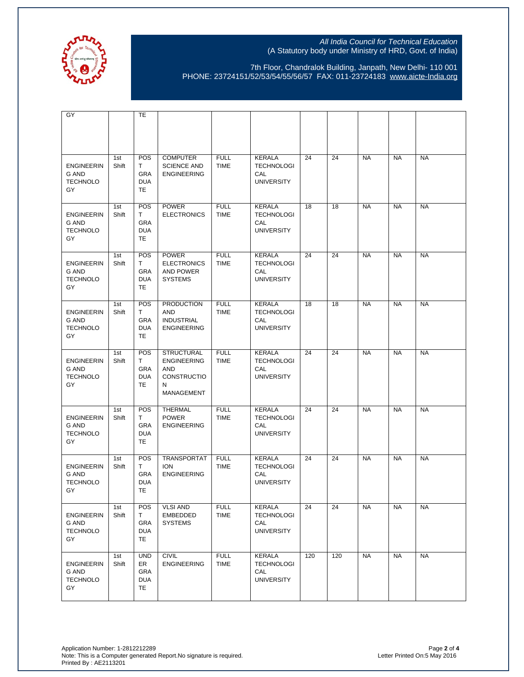

7th Floor, Chandralok Building, Janpath, New Delhi- 110 001 PHONE: 23724151/52/53/54/55/56/57 FAX: 011-23724183 [www.aicte-India.org](http://www.aicte-india.org/)

| GY                                                  |              | TE                                                 |                                                                                  |                            |                                                                |     |     |           |           |           |
|-----------------------------------------------------|--------------|----------------------------------------------------|----------------------------------------------------------------------------------|----------------------------|----------------------------------------------------------------|-----|-----|-----------|-----------|-----------|
|                                                     |              |                                                    |                                                                                  |                            |                                                                |     |     |           |           |           |
| <b>ENGINEERIN</b><br>G AND<br><b>TECHNOLO</b><br>GY | 1st<br>Shift | POS<br>T.<br>GRA<br><b>DUA</b><br>TE               | <b>COMPUTER</b><br><b>SCIENCE AND</b><br><b>ENGINEERING</b>                      | <b>FULL</b><br><b>TIME</b> | <b>KERALA</b><br><b>TECHNOLOGI</b><br>CAL<br><b>UNIVERSITY</b> | 24  | 24  | <b>NA</b> | <b>NA</b> | <b>NA</b> |
| <b>ENGINEERIN</b><br>G AND<br><b>TECHNOLO</b><br>GY | 1st<br>Shift | POS<br>Τ<br>GRA<br><b>DUA</b><br>TE                | <b>POWER</b><br><b>ELECTRONICS</b>                                               | <b>FULL</b><br><b>TIME</b> | <b>KERALA</b><br><b>TECHNOLOGI</b><br>CAL<br><b>UNIVERSITY</b> | 18  | 18  | <b>NA</b> | <b>NA</b> | <b>NA</b> |
| <b>ENGINEERIN</b><br>G AND<br><b>TECHNOLO</b><br>GY | 1st<br>Shift | <b>POS</b><br>Τ<br>GRA<br><b>DUA</b><br>TE         | <b>POWER</b><br><b>ELECTRONICS</b><br>AND POWER<br><b>SYSTEMS</b>                | <b>FULL</b><br><b>TIME</b> | <b>KERALA</b><br><b>TECHNOLOGI</b><br>CAL<br><b>UNIVERSITY</b> | 24  | 24  | <b>NA</b> | <b>NA</b> | <b>NA</b> |
| <b>ENGINEERIN</b><br>G AND<br><b>TECHNOLO</b><br>GY | 1st<br>Shift | POS<br>Τ<br>GRA<br><b>DUA</b><br>TE                | <b>PRODUCTION</b><br>AND<br><b>INDUSTRIAL</b><br><b>ENGINEERING</b>              | <b>FULL</b><br><b>TIME</b> | <b>KERALA</b><br><b>TECHNOLOGI</b><br>CAL<br><b>UNIVERSITY</b> | 18  | 18  | <b>NA</b> | <b>NA</b> | <b>NA</b> |
| <b>ENGINEERIN</b><br>G AND<br><b>TECHNOLO</b><br>GY | 1st<br>Shift | POS<br>Τ<br><b>GRA</b><br><b>DUA</b><br>TE         | <b>STRUCTURAL</b><br><b>ENGINEERING</b><br>AND<br>CONSTRUCTIO<br>N<br>MANAGEMENT | <b>FULL</b><br><b>TIME</b> | <b>KERALA</b><br><b>TECHNOLOGI</b><br>CAL<br><b>UNIVERSITY</b> | 24  | 24  | <b>NA</b> | <b>NA</b> | <b>NA</b> |
| <b>ENGINEERIN</b><br>G AND<br><b>TECHNOLO</b><br>GY | 1st<br>Shift | POS<br>T.<br><b>GRA</b><br><b>DUA</b><br>TE        | <b>THERMAL</b><br><b>POWER</b><br><b>ENGINEERING</b>                             | <b>FULL</b><br><b>TIME</b> | <b>KERALA</b><br><b>TECHNOLOGI</b><br>CAL<br><b>UNIVERSITY</b> | 24  | 24  | <b>NA</b> | <b>NA</b> | <b>NA</b> |
| <b>ENGINEERIN</b><br>G AND<br><b>TECHNOLO</b><br>GY | 1st<br>Shift | <b>POS</b><br>Τ<br><b>GRA</b><br><b>DUA</b><br>TE. | <b>TRANSPORTAT</b><br><b>ION</b><br><b>ENGINEERING</b>                           | <b>FULL</b><br><b>TIME</b> | <b>KERALA</b><br><b>TECHNOLOGI</b><br>CAL<br><b>UNIVERSITY</b> | 24  | 24  | <b>NA</b> | <b>NA</b> | <b>NA</b> |
| <b>ENGINEERIN</b><br>G AND<br><b>TECHNOLO</b><br>GY | 1st<br>Shift | POS<br>T.<br>GRA<br><b>DUA</b><br>TE               | <b>VLSI AND</b><br>EMBEDDED<br><b>SYSTEMS</b>                                    | <b>FULL</b><br><b>TIME</b> | <b>KERALA</b><br><b>TECHNOLOGI</b><br>CAL<br><b>UNIVERSITY</b> | 24  | 24  | <b>NA</b> | <b>NA</b> | <b>NA</b> |
| <b>ENGINEERIN</b><br>G AND<br><b>TECHNOLO</b><br>GY | 1st<br>Shift | <b>UND</b><br>ER.<br>GRA<br><b>DUA</b><br>TE       | <b>CIVIL</b><br><b>ENGINEERING</b>                                               | <b>FULL</b><br><b>TIME</b> | <b>KERALA</b><br><b>TECHNOLOGI</b><br>CAL<br><b>UNIVERSITY</b> | 120 | 120 | <b>NA</b> | <b>NA</b> | <b>NA</b> |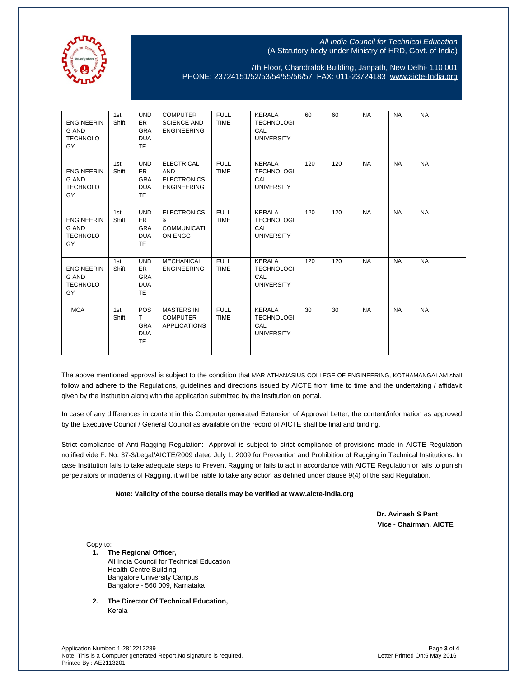

7th Floor, Chandralok Building, Janpath, New Delhi- 110 001 PHONE: 23724151/52/53/54/55/56/57 FAX: 011-23724183 [www.aicte-India.org](http://www.aicte-india.org/)

| <b>ENGINEERIN</b><br>G AND<br><b>TECHNOLO</b><br>GY        | 1st<br>Shift | <b>UND</b><br><b>ER</b><br><b>GRA</b><br><b>DUA</b><br><b>TE</b> | <b>COMPUTER</b><br><b>SCIENCE AND</b><br><b>ENGINEERING</b>                 | <b>FULL</b><br><b>TIME</b> | <b>KERALA</b><br><b>TECHNOLOGI</b><br>CAL<br><b>UNIVERSITY</b>        | 60  | 60  | <b>NA</b> | <b>NA</b> | <b>NA</b> |
|------------------------------------------------------------|--------------|------------------------------------------------------------------|-----------------------------------------------------------------------------|----------------------------|-----------------------------------------------------------------------|-----|-----|-----------|-----------|-----------|
| <b>ENGINEERIN</b><br><b>G AND</b><br><b>TECHNOLO</b><br>GY | 1st<br>Shift | <b>UND</b><br>ER.<br><b>GRA</b><br><b>DUA</b><br><b>TE</b>       | <b>ELECTRICAL</b><br><b>AND</b><br><b>ELECTRONICS</b><br><b>ENGINEERING</b> | <b>FULL</b><br><b>TIME</b> | <b>KERALA</b><br><b>TECHNOLOGI</b><br><b>CAL</b><br><b>UNIVERSITY</b> | 120 | 120 | <b>NA</b> | <b>NA</b> | <b>NA</b> |
| <b>ENGINEERIN</b><br><b>G AND</b><br><b>TECHNOLO</b><br>GY | 1st<br>Shift | <b>UND</b><br>ER.<br><b>GRA</b><br><b>DUA</b><br><b>TE</b>       | <b>ELECTRONICS</b><br>&<br><b>COMMUNICATI</b><br>ON ENGG                    | <b>FULL</b><br><b>TIME</b> | <b>KERALA</b><br><b>TECHNOLOGI</b><br>CAL<br><b>UNIVERSITY</b>        | 120 | 120 | <b>NA</b> | <b>NA</b> | <b>NA</b> |
| <b>ENGINEERIN</b><br>G AND<br><b>TECHNOLO</b><br>GY        | 1st<br>Shift | <b>UND</b><br><b>ER</b><br><b>GRA</b><br><b>DUA</b><br><b>TE</b> | <b>MECHANICAL</b><br><b>ENGINEERING</b>                                     | <b>FULL</b><br><b>TIME</b> | <b>KERALA</b><br><b>TECHNOLOGI</b><br>CAL<br><b>UNIVERSITY</b>        | 120 | 120 | <b>NA</b> | <b>NA</b> | <b>NA</b> |
| <b>MCA</b>                                                 | 1st<br>Shift | POS<br>T<br><b>GRA</b><br><b>DUA</b><br><b>TE</b>                | <b>MASTERS IN</b><br><b>COMPUTER</b><br><b>APPLICATIONS</b>                 | <b>FULL</b><br><b>TIME</b> | <b>KERALA</b><br><b>TECHNOLOGI</b><br><b>CAL</b><br><b>UNIVERSITY</b> | 30  | 30  | <b>NA</b> | <b>NA</b> | <b>NA</b> |

The above mentioned approval is subject to the condition that MAR ATHANASIUS COLLEGE OF ENGINEERING, KOTHAMANGALAM shall follow and adhere to the Regulations, guidelines and directions issued by AICTE from time to time and the undertaking / affidavit given by the institution along with the application submitted by the institution on portal.

In case of any differences in content in this Computer generated Extension of Approval Letter, the content/information as approved by the Executive Council / General Council as available on the record of AICTE shall be final and binding.

Strict compliance of Anti-Ragging Regulation:- Approval is subject to strict compliance of provisions made in AICTE Regulation notified vide F. No. 37-3/Legal/AICTE/2009 dated July 1, 2009 for Prevention and Prohibition of Ragging in Technical Institutions. In case Institution fails to take adequate steps to Prevent Ragging or fails to act in accordance with AICTE Regulation or fails to punish perpetrators or incidents of Ragging, it will be liable to take any action as defined under clause 9(4) of the said Regulation.

## **Note: Validity of the course details may be verified at www.aicte-india.org**

 **Dr. Avinash S Pant Vice - Chairman, AICTE**

Copy to:

- **1. The Regional Officer,** All India Council for Technical Education Health Centre Building Bangalore University Campus Bangalore - 560 009, Karnataka
- **2. The Director Of Technical Education,** Kerala